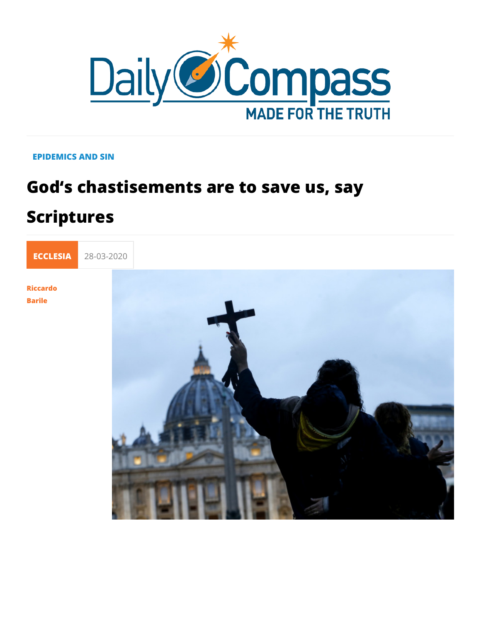## EPIDEMICS AND SIN

## God s chastisements are to save us, s Scriptures



**Barile**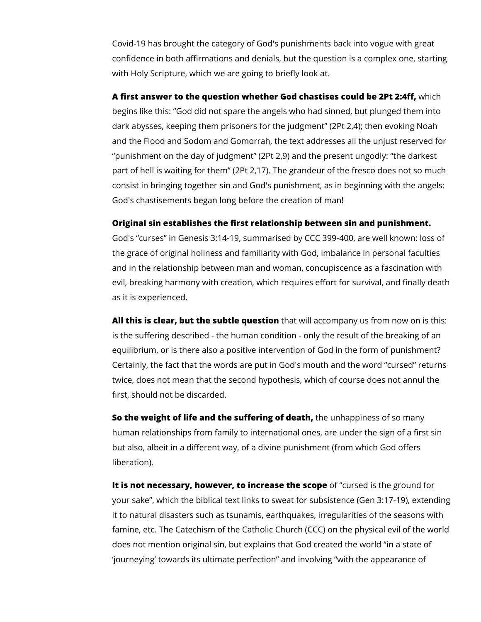Covid-19 has brought the category of God's punishments back into vogue with great confidence in both affirmations and denials, but the question is a complex one, starting with Holy Scripture, which we are going to briefly look at.

**A first answer to the question whether God chastises could be 2Pt 2:4ff,** which begins like this: "God did not spare the angels who had sinned, but plunged them into dark abysses, keeping them prisoners for the judgment" (2Pt 2,4); then evoking Noah and the Flood and Sodom and Gomorrah, the text addresses all the unjust reserved for "punishment on the day of judgment" (2Pt 2,9) and the present ungodly: "the darkest part of hell is waiting for them" (2Pt 2,17). The grandeur of the fresco does not so much consist in bringing together sin and God's punishment, as in beginning with the angels: God's chastisements began long before the creation of man!

## **Original sin establishes the first relationship between sin and punishment.**

God's "curses" in Genesis 3:14-19, summarised by CCC 399-400, are well known: loss of the grace of original holiness and familiarity with God, imbalance in personal faculties and in the relationship between man and woman, concupiscence as a fascination with evil, breaking harmony with creation, which requires effort for survival, and finally death as it is experienced.

**All this is clear, but the subtle question** that will accompany us from now on is this: is the suffering described - the human condition - only the result of the breaking of an equilibrium, or is there also a positive intervention of God in the form of punishment? Certainly, the fact that the words are put in God's mouth and the word "cursed" returns twice, does not mean that the second hypothesis, which of course does not annul the first, should not be discarded.

**So the weight of life and the suffering of death,** the unhappiness of so many human relationships from family to international ones, are under the sign of a first sin but also, albeit in a different way, of a divine punishment (from which God offers liberation).

**It is not necessary, however, to increase the scope** of "cursed is the ground for your sake", which the biblical text links to sweat for subsistence (Gen 3:17-19), extending it to natural disasters such as tsunamis, earthquakes, irregularities of the seasons with famine, etc. The Catechism of the Catholic Church (CCC) on the physical evil of the world does not mention original sin, but explains that God created the world "in a state of 'journeying' towards its ultimate perfection" and involving "with the appearance of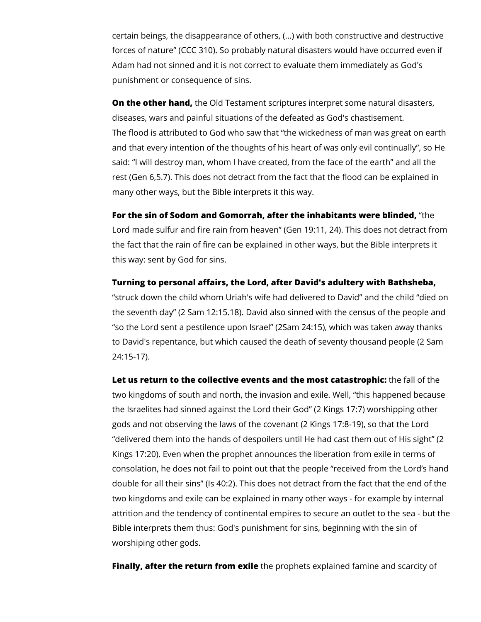certain beings, the disappearance of others, (...) with both constructive and destructive forces of nature" (CCC 310). So probably natural disasters would have occurred even if Adam had not sinned and it is not correct to evaluate them immediately as God's punishment or consequence of sins.

**On the other hand,** the Old Testament scriptures interpret some natural disasters, diseases, wars and painful situations of the defeated as God's chastisement. The flood is attributed to God who saw that "the wickedness of man was great on earth and that every intention of the thoughts of his heart of was only evil continually", so He said: "I will destroy man, whom I have created, from the face of the earth" and all the rest (Gen 6,5.7). This does not detract from the fact that the flood can be explained in many other ways, but the Bible interprets it this way.

**For the sin of Sodom and Gomorrah, after the inhabitants were blinded,** "the Lord made sulfur and fire rain from heaven" (Gen 19:11, 24). This does not detract from the fact that the rain of fire can be explained in other ways, but the Bible interprets it this way: sent by God for sins.

**Turning to personal affairs, the Lord, after David's adultery with Bathsheba,** "struck down the child whom Uriah's wife had delivered to David" and the child "died on the seventh day" (2 Sam 12:15.18). David also sinned with the census of the people and "so the Lord sent a pestilence upon Israel" (2Sam 24:15), which was taken away thanks to David's repentance, but which caused the death of seventy thousand people (2 Sam 24:15-17).

**Let us return to the collective events and the most catastrophic:** the fall of the two kingdoms of south and north, the invasion and exile. Well, "this happened because the Israelites had sinned against the Lord their God" (2 Kings 17:7) worshipping other gods and not observing the laws of the covenant (2 Kings 17:8-19), so that the Lord "delivered them into the hands of despoilers until He had cast them out of His sight" (2 Kings 17:20). Even when the prophet announces the liberation from exile in terms of consolation, he does not fail to point out that the people "received from the Lord's hand double for all their sins" (Is 40:2). This does not detract from the fact that the end of the two kingdoms and exile can be explained in many other ways - for example by internal attrition and the tendency of continental empires to secure an outlet to the sea - but the Bible interprets them thus: God's punishment for sins, beginning with the sin of worshiping other gods.

**Finally, after the return from exile** the prophets explained famine and scarcity of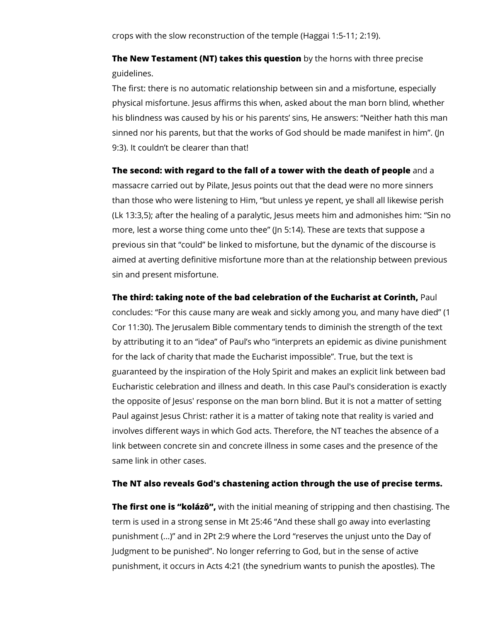crops with the slow reconstruction of the temple (Haggai 1:5-11; 2:19).

**The New Testament (NT) takes this question** by the horns with three precise guidelines.

The first: there is no automatic relationship between sin and a misfortune, especially physical misfortune. Jesus affirms this when, asked about the man born blind, whether his blindness was caused by his or his parents' sins, He answers: "Neither hath this man sinned nor his parents, but that the works of God should be made manifest in him". (Jn 9:3). It couldn't be clearer than that!

**The second: with regard to the fall of a tower with the death of people** and a massacre carried out by Pilate, Jesus points out that the dead were no more sinners than those who were listening to Him, "but unless ye repent, ye shall all likewise perish (Lk 13:3,5); after the healing of a paralytic, Jesus meets him and admonishes him: "Sin no more, lest a worse thing come unto thee" (Jn 5:14). These are texts that suppose a previous sin that "could" be linked to misfortune, but the dynamic of the discourse is aimed at averting definitive misfortune more than at the relationship between previous sin and present misfortune.

**The third: taking note of the bad celebration of the Eucharist at Corinth,** Paul concludes: "For this cause many are weak and sickly among you, and many have died" (1 Cor 11:30). The Jerusalem Bible commentary tends to diminish the strength of the text by attributing it to an "idea" of Paul's who "interprets an epidemic as divine punishment for the lack of charity that made the Eucharist impossible". True, but the text is guaranteed by the inspiration of the Holy Spirit and makes an explicit link between bad Eucharistic celebration and illness and death. In this case Paul's consideration is exactly the opposite of Jesus' response on the man born blind. But it is not a matter of setting Paul against Jesus Christ: rather it is a matter of taking note that reality is varied and involves different ways in which God acts. Therefore, the NT teaches the absence of a link between concrete sin and concrete illness in some cases and the presence of the same link in other cases.

## **The NT also reveals God's chastening action through the use of precise terms.**

**The first one is "kolázô",** with the initial meaning of stripping and then chastising. The term is used in a strong sense in Mt 25:46 "And these shall go away into everlasting punishment (...)" and in 2Pt 2:9 where the Lord "reserves the unjust unto the Day of Judgment to be punished". No longer referring to God, but in the sense of active punishment, it occurs in Acts 4:21 (the synedrium wants to punish the apostles). The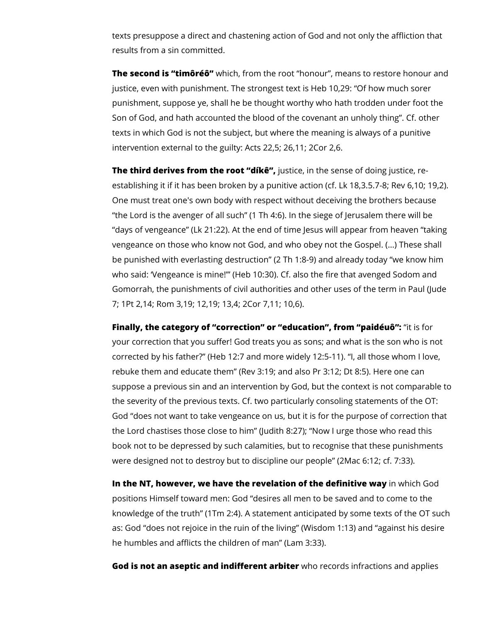texts presuppose a direct and chastening action of God and not only the affliction that results from a sin committed.

**The second is "timôréô"** which, from the root "honour", means to restore honour and justice, even with punishment. The strongest text is Heb 10,29: "Of how much sorer punishment, suppose ye, shall he be thought worthy who hath trodden under foot the Son of God, and hath accounted the blood of the covenant an unholy thing". Cf. other texts in which God is not the subject, but where the meaning is always of a punitive intervention external to the guilty: Acts 22,5; 26,11; 2Cor 2,6.

**The third derives from the root "díkê",** justice, in the sense of doing justice, reestablishing it if it has been broken by a punitive action (cf. Lk 18,3.5.7-8; Rev 6,10; 19,2). One must treat one's own body with respect without deceiving the brothers because "the Lord is the avenger of all such" (1 Th 4:6). In the siege of Jerusalem there will be "days of vengeance" (Lk 21:22). At the end of time Jesus will appear from heaven "taking vengeance on those who know not God, and who obey not the Gospel. (...) These shall be punished with everlasting destruction" (2 Th 1:8-9) and already today "we know him who said: 'Vengeance is mine!'" (Heb 10:30). Cf. also the fire that avenged Sodom and Gomorrah, the punishments of civil authorities and other uses of the term in Paul (Jude 7; 1Pt 2,14; Rom 3,19; 12,19; 13,4; 2Cor 7,11; 10,6).

**Finally, the category of "correction" or "education", from "paidéuô":** "it is for your correction that you suffer! God treats you as sons; and what is the son who is not corrected by his father?" (Heb 12:7 and more widely 12:5-11). "I, all those whom I love, rebuke them and educate them" (Rev 3:19; and also Pr 3:12; Dt 8:5). Here one can suppose a previous sin and an intervention by God, but the context is not comparable to the severity of the previous texts. Cf. two particularly consoling statements of the OT: God "does not want to take vengeance on us, but it is for the purpose of correction that the Lord chastises those close to him" (Judith 8:27); "Now I urge those who read this book not to be depressed by such calamities, but to recognise that these punishments were designed not to destroy but to discipline our people" (2Mac 6:12; cf. 7:33).

**In the NT, however, we have the revelation of the definitive way** in which God positions Himself toward men: God "desires all men to be saved and to come to the knowledge of the truth" (1Tm 2:4). A statement anticipated by some texts of the OT such as: God "does not rejoice in the ruin of the living" (Wisdom 1:13) and "against his desire he humbles and afflicts the children of man" (Lam 3:33).

**God is not an aseptic and indifferent arbiter** who records infractions and applies